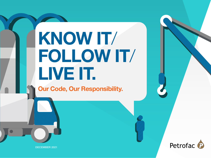# KNOW IT/ FOLLOW IT/ LIVE IT.

Our Code, Our Responsibility.



DECEMBER 2021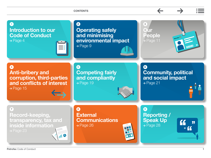

Petrofac Code of Conduct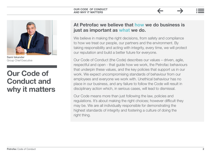

Sami Iskander Group Chief Executive

### Our Code of Conduct and why it matters

#### At Petrofac we believe that how we do business is just as important as what we do.

We believe in making the right decisions, from safety and compliance to how we treat our people, our partners and the environment. By taking responsibility and acting with integrity, every time, we will protect our reputation and build a better future for everyone.

Our Code of Conduct (the Code) describes our values – driven, agile, respectful and open - that guide how we work, the Petrofac behaviours that underpin these values, and the key policies that support us in our work. We expect uncompromising standards of behaviour from our employees and everyone we work with. Unethical behaviour has no place in our business, and any failure to follow the Code will result in disciplinary action which, in serious cases, will lead to dismissal.

Our Code means more than just following the law, policies and regulations. It's about making the right choices; however difficult they may be. We are all individually responsible for demonstrating the highest standards of integrity and fostering a culture of doing the right thing.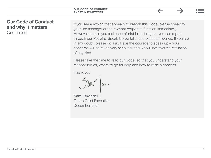#### Our Code of Conduct and why it matters **Continued**

If you see anything that appears to breach this Code, please speak to your line manager or the relevant corporate function immediately. However, should you feel uncomfortable in doing so, you can report through our Petrofac Speak Up portal in complete confidence. If you are in any doubt, please do ask. Have the courage to speak up – your concerns will be taken very seriously, and we will not tolerate retaliation of any kind.

Please take the time to read our Code, so that you understand your responsibilities, where to go for help and how to raise a concern.

Thank you

Sami Iskander Group Chief Executive December 2021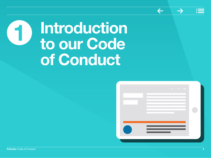

# <span id="page-4-0"></span>**Introduction** to our Code of Conduct

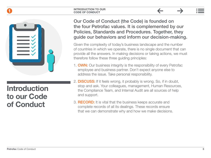#### INTRODUCTION TO OUR CODE OF CONDUCT



# Introduction to our Code of Conduct

Our Code of Conduct (the Code) is founded on the four Petrofac values. It is complemented by our Policies, Standards and Procedures. Together, they guide our behaviors and inform our decision-making.

Given the complexity of today's business landscape and the number of countries in which we operate, there is no single document that can provide all the answers. In making decisions or taking actions, we must therefore follow these three guiding principles:

- 1. **OWN:** Our business integrity is the responsibility of every Petrofac employee and business partner. Don't expect anyone else to address the issue. Take personal responsibility.
- 2. DISCUSS: If it feels wrong, it probably is wrong. So, if in doubt, stop and ask. Your colleagues, management, Human Resources, the Compliance Team, and Internal Audit are all sources of help and support.
- 3. RECORD: It is vital that the business keeps accurate and complete records of all its dealings. These records ensure that we can demonstrate why and how we make decisions.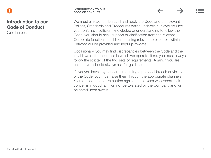1

#### Introduction to our Code of Conduct **Continued**

We must all read, understand and apply the Code and the relevant Polices, Standards and Procedures which underpin it. If ever you feel you don't have sufficient knowledge or understanding to follow the Code, you should seek support or clarification from the relevant Corporate function. In addition, training relevant to each role within Petrofac will be provided and kept up-to-date.

 $\leftarrow$ 

 $\rightarrow$ 

Occasionally, you may find discrepancies between the Code and the local laws of the countries in which we operate. If so, you must always follow the stricter of the two sets of requirements. Again, if you are unsure, you should always ask for guidance.

If ever you have any concerns regarding a potential breach or violation of the Code, you must raise them through the appropriate channels. You can be sure that retaliation against employees who report their concerns in good faith will not be tolerated by the Company and will be acted upon swiftly.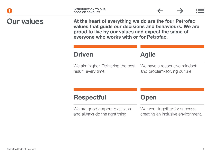|                   | <b>INTRODUCTION TO OUR</b><br><b>CODE OF CONDUCT</b>                                                                                                                                                               |                                                                     |  |
|-------------------|--------------------------------------------------------------------------------------------------------------------------------------------------------------------------------------------------------------------|---------------------------------------------------------------------|--|
| <b>Our values</b> | At the heart of everything we do are the four Petrofac<br>values that guide our decisions and behaviours. We are<br>proud to live by our values and expect the same of<br>everyone who works with or for Petrofac. |                                                                     |  |
|                   | <b>Driven</b>                                                                                                                                                                                                      | <b>Agile</b>                                                        |  |
|                   | We aim higher. Delivering the best<br>result, every time.                                                                                                                                                          | We have a responsive mindset<br>and problem-solving culture.        |  |
|                   | <b>Respectful</b>                                                                                                                                                                                                  | <b>Open</b>                                                         |  |
|                   | We are good corporate citizens<br>and always do the right thing.                                                                                                                                                   | We work together for success,<br>creating an inclusive environment. |  |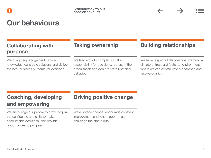| <b>Collaborating with</b><br>purpose                                                                                      | <b>Taking ownership</b>                                                                                                                   | <b>Building relationships</b>                                                                                                                               |
|---------------------------------------------------------------------------------------------------------------------------|-------------------------------------------------------------------------------------------------------------------------------------------|-------------------------------------------------------------------------------------------------------------------------------------------------------------|
| We bring people together to share<br>knowledge, co-create solutions and deliver<br>the best business outcome for everyone | We lead work to completion, take<br>responsibility for decisions, represent the<br>organisation and don't tolerate unethical<br>behaviour | We have respectful relationships, we build a<br>climate of trust and foster an environment<br>where we can constructively challenge and<br>resolve conflict |

 $\leftarrow$ 

 $\rightarrow$ 

#### Coaching, developing and empowering

We encourage our people to grow, acquire the confidence and skills to make accountable decisions, and provide opportunities to progress

#### Driving positive change

We embrace change, encourage constant improvement and where appropriate, challenge the status quo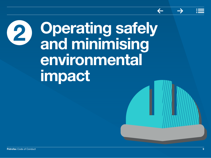# <span id="page-9-0"></span>Operating safely and minimising environmental impact 2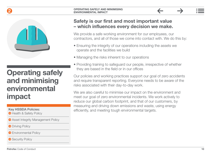### 2



### Operating safely and minimising environmental impact

#### Key HSSEIA Policies:

**Health & Safety Policy** 

- **Asset Integrity Management Policy**
- **O** [Driving Policy](https://petrofaconline.sharepoint.com/sites/Compliance_2019/Shared%20Documents/Forms/AllItems.aspx?id=%2Fsites%2FCompliance%5F2019%2FShared%20Documents%2F03%5FDriving%20Policy%2Epdf&parent=%2Fsites%2FCompliance%5F2019%2FShared%20Documents)
- **Environmental Policy**

Security Policy

#### Safety is our first and most important value – which influences every decision we make.

We provide a safe working environment for our employees, our contractors, and all of those we come into contact with. We do this by:

- Ensuring the integrity of our operations including the assets we operate and the facilities we build
- Managing the risks inherent to our operations
- Providing training to safeguard our people, irrespective of whether they are based in the field or in our offices

Our policies and working practices support our goal of zero accidents and require transparent reporting. Everyone needs to be aware of the risks associated with their day-to-day work.

We are also careful to minimise our impact on the environment and meet our goal of zero environmental incidents. We work actively to reduce our global carbon footprint, and that of our customers, by measuring and driving down emissions and waste, using energy efficiently, and meeting tough environmental targets.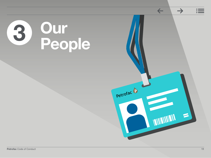# <span id="page-11-0"></span>3 Our People

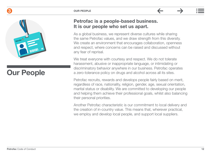#### OUR PEOPLE





## Our People

#### Petrofac is a people-based business. It is our people who set us apart.

As a global business, we represent diverse cultures while sharing the same Petrofac values, and we draw strength from this diversity. We create an environment that encourages collaboration, openness and respect, where concerns can be raised and discussed without any fear of reprisal.

We treat everyone with courtesy and respect. We do not tolerate harassment, abusive or inappropriate language, or intimidating or discriminatory behavior anywhere in our business. Petrofac operates a zero-tolerance policy on drugs and alcohol across all its sites.

Petrofac recruits, rewards and develops people fairly based on merit, regardless of race, nationality, religion, gender, age, sexual orientation, marital status or disability. We are committed to developing our people and helping them achieve their professional goals, whilst also balancing their personal priorities.

Another Petrofac characteristic is our commitment to local delivery and the creation of in-country value. This means that, wherever practical, we employ and develop local people, and support local suppliers.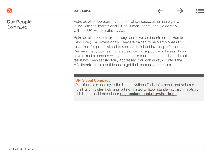#### Our People **Continued**

Petrofac also operates in a manner which respects human dignity, in line with the International Bill of Human Rights, and we comply with the UK Modern Slavery Act.

Petrofac also benefits from a large and diverse department of Human Resource (HR) professionals. They are trained to help employees to meet their full potential and to achieve their best level of performance. We have many policies that are designed to support employees. If you have raised a concern with your supervisor or manager and you do not feel it has been satisfactorily addressed, you can always contact the HR department in confidence to get their support and advice.

#### UN Global Compact

Petrofac is a signatory to the United Nations Global Compact and adheres to all its principles including but not limited to labor standards, discrimination, child labor and forced labor [unglobalcompact.org/what-is-gc](https://www.unglobalcompact.org/what-is-gc)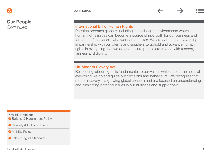Our People **Continued** 

#### International Bill of Human Rights

Petrofac operates globally, including in challenging environments where human rights issues can become a source of risk, both for our business and for some of the people who work on our sites. We are committed to working in partnership with our clients and suppliers to uphold and advance human rights in everything that we do and ensure people are treated with respect, fairness and dignity.

#### UK Modern Slavery Act

Respecting labour rights is fundamental to our values which are at the heart of everything we do and guide our decisions and behaviours. We recognise that modern slavery is a growing global concern and are focused on understanding and eliminating potential issues in our business and supply chain.

Key HR Policies:

**● Bullying & Harassment Policy** 

● [Diversity & Inclusion Policy](https://petrofaconline.sharepoint.com/sites/Compliance_2019/Shared%20Documents/Forms/AllItems.aspx?id=%2Fsites%2FCompliance%5F2019%2FShared%20Documents%2F07%5FDiversity%20%26%20Inclusion%20Policy%2Epdf&parent=%2Fsites%2FCompliance%5F2019%2FShared%20Documents)

**• [Mobility Policy](https://petrofaconline.sharepoint.com/sites/Compliance_2019/Shared%20Documents/Forms/AllItems.aspx?id=%2Fsites%2FCompliance%5F2019%2FShared%20Documents%2F08%5FMobility%20Policy%2Epdf&parent=%2Fsites%2FCompliance%5F2019%2FShared%20Documents

)** 

**Q** [Labour Rights Standard](https://petrofaconline.sharepoint.com/sites/Compliance_2019/Shared%20Documents/Forms/AllItems.aspx?id=%2Fsites%2FCompliance%5F2019%2FShared%20Documents%2F09%5FLabour%20Rights%20Standard%2Epdf&parent=%2Fsites%2FCompliance%5F2019%2FShared%20Documents)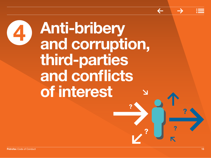<span id="page-15-0"></span>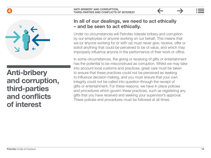



### Anti-bribery and corruption, third-parties and conflicts of interest

#### In all of our dealings, we need to act ethically – and be seen to act ethically.

Under no circumstances will Petrofac tolerate bribery and corruption by our employees or anyone working on our behalf. This means that we (or anyone working for or with us) must never give, receive, offer or solicit anything that could be perceived to be of value, and which may improperly influence anyone in the performance of their work or office.

In some circumstances, the giving or receiving of gifts or entertainment has the potential to be misconstrued as corruption. Whilst we may take into account local customs and practices, great care must be taken to ensure that these practices could not be perceived as seeking to influence decision making, and you must ensure that your own integrity could not be called into question through the receipt of gifts or entertainment. For these reasons, we have in place policies and procedures which govern these practices, such as registering any gifts that you have received and seeking your supervisor's approval. These policies and procedures must be followed at all times.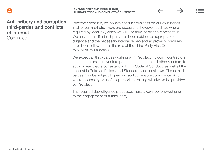

#### Anti-bribery and corruption, third-parties and conflicts of interest

**Continued** 

Wherever possible, we always conduct business on our own behalf in all of our markets. There are occasions, however, such as where required by local law, when we will use third-parties to represent us. We only do this if a third-party has been subject to appropriate due diligence and the necessary internal review and approval procedures have been followed. It is the role of the Third-Party Risk Committee to provide this function.

We expect all third-parties working with Petrofac, including contractors, subcontractors, joint venture partners, agents, and all other vendors, to act in a way that is consistent with this Code of Conduct, as well all the applicable Petrofac Polices and Standards and local laws. These thirdparties may be subject to periodic audit to ensure compliance. And, where necessary or useful, appropriate training will always be provided by Petrofac.

The required due-diligence processes must always be followed prior to the engagement of a third-party.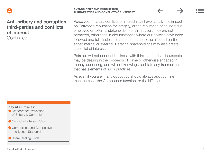

#### Anti-bribery and corruption, third-parties and conflicts of interest

**Continued** 

Perceived or actual conflicts of interest may have an adverse impact on Petrofac's reputation for integrity, or the reputation of an individual employee or external stakeholder. For this reason, they are not permitted, other than in circumstances where our policies have been followed and full disclosure has been made to the affected parties, either internal or external. Personal shareholdings may also create a conflict of interest.

Petrofac will not conduct business with third-parties that it suspects may be dealing in the proceeds of crime or otherwise engaged in money laundering, and will not knowingly facilitate any transaction that has elements of such practices.

As ever, if you are in any doubt you should always ask your line management, the Compliance function, or the HR team.

Key ABC Policies:

- **Standard for Prevention** [of Bribery & Corruption](https://petrofaconline.sharepoint.com/sites/Compliance_2019/Shared%20Documents/Forms/AllItems.aspx?id=%2Fsites%2FCompliance%5F2019%2FShared%20Documents%2F10%5FStandard%20for%20the%20Prevention%20of%20Bribery%20%26%20Corruption%2Epdf&parent=%2Fsites%2FCompliance%5F2019%2FShared%20Documents)
- **◆ [Conflict of Interest Policy](https://petrofaconline.sharepoint.com/sites/Compliance_2019/Shared%20Documents/Forms/AllItems.aspx?id=%2Fsites%2FCompliance%5F2019%2FShared%20Documents%2F11%5FConflict%20Of%20Interest%20Policy%2D2019%2Epdf&parent=%2Fsites%2FCompliance%5F2019%2FShared%20Documents)**
- **Competition and Competitive** [Intelligence Standard](https://petrofaconline.sharepoint.com/sites/Compliance_2019/Shared%20Documents/Forms/AllItems.aspx?id=%2Fsites%2FCompliance%5F2019%2FShared%20Documents%2F12%5FCompetition%20Law%20and%20Competitive%20Intelligence%20Standard%5FRev0%2Epdf&parent=%2Fsites%2FCompliance%5F2019%2FShared%20Documents)
- Share Dealing Code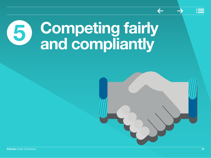# <span id="page-19-0"></span>5 Competing fairly and compliantly

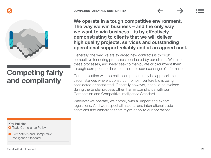

### Competing fairly and compliantly

#### Key Policies:

**• [Trade Compliance Policy](https://petrofaconline.sharepoint.com/sites/Compliance_2019/Shared%20Documents/Forms/AllItems.aspx?id=%2Fsites%2FCompliance%5F2019%2FShared%20Documents%2F14%5FTrade%20Compliance%20Policy%2D2019%2Epdf&parent=%2Fsites%2FCompliance%5F2019%2FShared%20Documents)** 

 $\Theta$  Competition and Competitive [Intelligence Standard](https://petrofaconline.sharepoint.com/sites/Compliance_2019/Shared%20Documents/Forms/AllItems.aspx?id=%2Fsites%2FCompliance%5F2019%2FShared%20Documents%2F12%5FCompetition%20Law%20and%20Competitive%20Intelligence%20Standard%5FRev0%2Epdf&parent=%2Fsites%2FCompliance%5F2019%2FShared%20Documents)

We operate in a tough competitive environment. The way we win business – and the only way we want to win business – is by effectively demonstrating to clients that we will deliver high quality projects, services and outstanding operational support reliably and at an agreed cost.

Generally, the way we are awarded new contracts is through competitive tendering processes conducted by our clients. We respect these processes, and never seek to manipulate or circumvent them through corruption, collusion or the improper exchange of information.

Communication with potential competitors may be appropriate in circumstances where a consortium or joint venture bid is being considered or negotiated. Generally however, it should be avoided during the tender process other than in compliance with our Competition and Competitive Intelligence Standard.

Wherever we operate, we comply with all import and export regulations. And we respect all national and international trade sanctions and embargoes that might apply to our operations.

5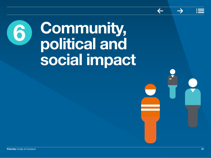# <span id="page-21-0"></span>6 Community, political and social impact

 $\leftarrow$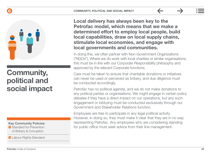#### $6$



# Community, political and social impact

Key Community Policies:

Standard for Prevention [of Bribery & Corruption](https://petrofaconline.sharepoint.com/sites/Compliance_2019/Shared%20Documents/Forms/AllItems.aspx?id=%2Fsites%2FCompliance%5F2019%2FShared%20Documents%2F10%5FStandard%20for%20the%20Prevention%20of%20Bribery%20%26%20Corruption%2Epdf&parent=%2Fsites%2FCompliance%5F2019%2FShared%20Documents) 

**Q** [Labour Rights Standard](https://petrofaconline.sharepoint.com/sites/Compliance_2019/Shared%20Documents/Forms/AllItems.aspx?id=%2Fsites%2FCompliance%5F2019%2FShared%20Documents%2F09%5FLabour%20Rights%20Standard%2Epdf&parent=%2Fsites%2FCompliance%5F2019%2FShared%20Documents)

Local delivery has always been key to the Petrofac model, which means that we make a determined effort to employ local people, build local capabilities, draw on local supply chains, stimulate local economies, and engage with local governments and communities.

In doing this, we often partner with Non-Government Organizations ("NGOs"). Where we do work with local charities or similar organisations, this must be in line with our Corporate Responsibility philosophy and approved by the relevant Corporate functions.

Care must be taken to ensure that charitable donations or initiatives can never be used or perceived as bribery, and due diligence must be conducted accordingly.

Petrofac has no political agenda, and we do not make donations to any political parties or organisations. We might engage in certain policy debates if they have a direct impact on our operations, but any such engagement or lobbying must be conducted exclusively through our Government and Stakeholder Relations function.

Employees are free to participate in any legal political activity. However, in doing so, they must make it clear that they are in no way representing Petrofac. Any employees who are considering standing for public office must seek advice from their line management.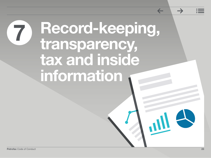# <span id="page-23-0"></span>7 Record-keeping, transparency, tax and inside information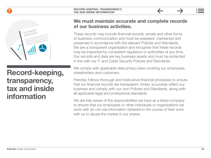

### Record-keeping, transparency, tax and inside information

#### We must maintain accurate and complete records of our business activities.

These records may include financial records, emails and other forms of business communication and must be prepared, maintained and preserved in accordance with the relevant Policies and Standards. We are a transparent organisation and recognise that these records may be inspected by competent regulators or authorities at any time. Our records and data are key business assets and must be protected in line with our IT and Cyber Security Policies and Standards.

We comply with applicable data privacy laws covering our employees, stakeholders and customers.

Petrofac follows thorough and meticulous financial processes to ensure that our financial records are transparent, timely, accurately reflect our business and comply with our own Policies and Standards, along with all applicable legal and professional standards.

We are fully aware of the responsibilities we have as a listed company to ensure that our employees or other individuals or organisations we work with do not use information obtained in the course of their work with us to abuse the market in our shares.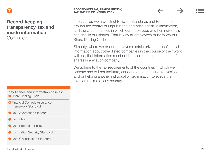#### Record-keeping, transparency, tax and inside information **Continued**

In particular, we have strict Policies, Standards and Procedures around the control of unpublished and price sensitive information, and the circumstances in which our employees or other individuals can deal in our shares. That is why all employees must follow our Share Dealing Code.

Similarly, where we or our employees obtain private or confidential information about other listed companies in the course of their work with us, that information must not be used to abuse the market for shares in any such company.

We adhere to the tax requirements of the countries in which we operate and will not facilitate, condone or encourage tax evasion and/or helping another individual or organisation to evade the taxation regime of any country.

Key finance and information policies:

- Share Dealing Code
- **•** Financial Controls Assurance [Framework Standard](https://petrofaconline.sharepoint.com/sites/Compliance_2019/Shared%20Documents/Forms/AllItems.aspx?id=%2Fsites%2FCompliance%5F2019%2FShared%20Documents%2FFCAF%20Standard%20%2D%20Final%20V1%2E0%2Epdf&parent=%2Fsites%2FCompliance%5F2019%2FShared%20Documents)
- **O** [Tax Governance Standard](https://petrofaconline.sharepoint.com/sites/Compliance_2019/Shared%20Documents/Forms/AllItems.aspx?id=%2Fsites%2FCompliance%5F2019%2FShared%20Documents%2FPetrofac%20Tax%20Governance%20Standard%20%2D%20Feb%2018%2Epdf&parent=%2Fsites%2FCompliance%5F2019%2FShared%20Documents)
- **Tax Policy**
- **Data Protection Policy**
- **•** [Information Security Standard](https://petrofaconline.sharepoint.com/sites/Compliance_2019/Shared%20Documents/Forms/AllItems.aspx?id=%2Fsites%2FCompliance%5F2019%2FShared%20Documents%2F20%5FInformation%20Security%20Standard%2Epdf&parent=%2Fsites%2FCompliance%5F2019%2FShared%20Documents)
- **O** [Data Classification Standard](https://petrofaconline.sharepoint.com/sites/Compliance_2019/Shared%20Documents/Forms/AllItems.aspx?id=%2Fsites%2FCompliance%5F2019%2FShared%20Documents%2F21%5FInformation%20Classification%20Standard%2Epdf&parent=%2Fsites%2FCompliance%5F2019%2FShared%20Documents)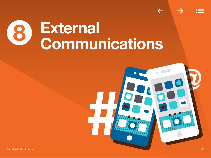# <span id="page-26-0"></span>8 External Communications

# 1 @ Petrofac Code of Conduct 26 November 26 November 26 November 26 November 26 November 26 November 26 November 26 November 26 November 26 November 26 November 26 November 26 November 26 November 26 November 26 November 26 No

 $\leftarrow$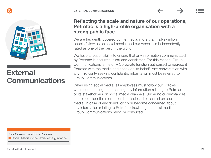



## **External** Communications

Reflecting the scale and nature of our operations, Petrofac is a high-profile organisation with a strong public face.

We are frequently covered by the media, more than half-a-million people follow us on social media, and our website is independently rated as one of the best in the world.

We have a responsibility to ensure that any information communicated by Petrofac is accurate, clear and consistent. For this reason, Group Communications is the only Corporate function authorised to represent Petrofac with the media and speak on its behalf. Any conversation with any third-party seeking confidential information must be referred to Group Communications.

When using social media, all employees must follow our policies when commenting on or sharing any information relating to Petrofac or its stakeholders on social media channels. Under no circumstances should confidential information be disclosed or shared on social media. In case of any doubt, or if you become concerned about any information relating to Petrofac circulating on social media, Group Communications must be consulted.

Key Communications Policies:

**Social Media in the Workplace quidance**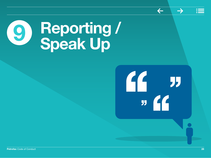<span id="page-28-0"></span>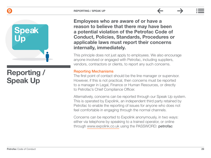

### Reporting / Speak Up

Employees who are aware of or have a reason to believe that there may have been a potential violation of the Petrofac Code of Conduct, Policies, Standards, Procedures or applicable laws must report their concerns internally, immediately.

This principle does not just apply to employees. We also encourage anyone involved or engaged with Petrofac, including suppliers, vendors, contractors or clients, to report any such concerns.

#### Reporting Mechanisms

The first point of contact should be the line manager or supervisor. However, if this is not practical, then concerns must be reported to a manager in Legal, Finance or Human Resources, or directly to Petrofac's Chief Compliance Officer.

Alternatively, concerns can be reported through our Speak Up system. This is operated by Expolink, an independent third party retained by Petrofac to enable the reporting of issues for anyone who does not feel comfortable in engaging through the normal channels.

Concerns can be reported to Expolink anonymously, in two ways: either via telephone by speaking to a trained operator, or online through www.expolink.co.uk using the PASSWORD: petrofac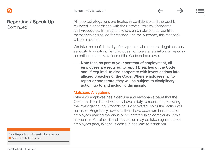#### 9

#### Reporting / Speak Up **Continued**

All reported allegations are treated in confidence and thoroughly reviewed in accordance with the Petrofac Policies, Standards and Procedures. In instances where an employee has identified themselves and asked for feedback on the outcome, this feedback will be provided.

We take the confidentiality of any person who reports allegations very seriously. In addition, Petrofac does not tolerate retaliation for reporting potential or actual violations of the Code or local laws.

—— Note that, as part of your contract of employment, all employees are required to report breaches of the Code and, if required, to also cooperate with investigations into alleged breaches of the Code. Where employees fail to report or cooperate, they will be subject to disciplinary action (up to and including dismissal).

#### Malicious Allegations

Where an employee has a genuine and reasonable belief that the Code has been breached, they have a duty to report it. If, following the investigation, no wrongdoing is discovered, no further action will be taken. Regrettably however, there have been rare incidences of employees making malicious or deliberately false complaints. If this happens in Petrofac, disciplinary action may be taken against those employees (and, in serious cases, it can lead to dismissal).

Key Reporting / Speak Up policies: **• [N](https://eur03.safelinks.protection.outlook.com/ap/b-59584e83/?url=https%3A%2F%2Fpetrofaconline.sharepoint.com%2Fsites%2FCompliance_2019%2FShared%2520Documents%2F2020%2520Non-Retaliation%2520Policy.pdf&data=04%7C01%7CAnn.Whatley%40petrofac.com%7C3b137063f1714fbee9a508d9b96f9710%7C16a4d71285ca455cbba0139c059e16e3%7C0%7C0%7C637744711184952614%7CUnknown%7CTWFpbGZsb3d8eyJWIjoiMC4wLjAwMDAiLCJQIjoiV2luMzIiLCJBTiI6Ik1haWwiLCJXVCI6Mn0%3D%7C3000&sdata=z94YwY6B28tlqjA1u5nQotJsBTvpV2XsSW2JPzI%2BIsI%3D&reserved=0"   https://petrofaconline.sharepoint.com/sites/Compliance_2019/Shared%20Documents/2020%20Non-Retaliation%20Policy.pdf
)on-Retaliation policy**